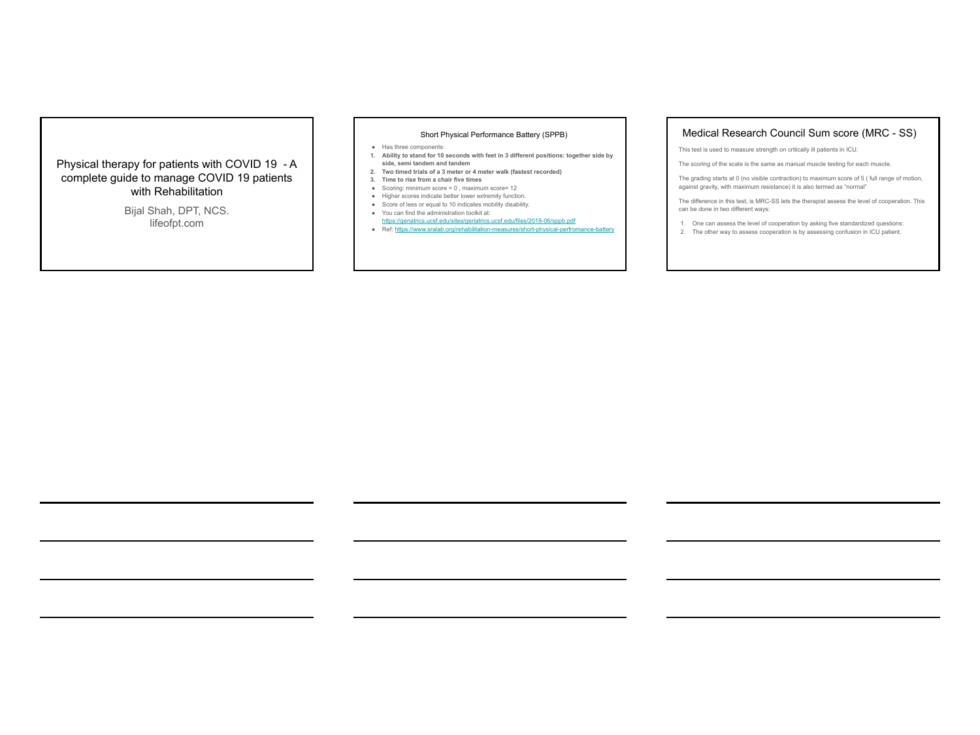## Physical therapy for patients with COVID 19 - A complete guide to manage COVID 19 patients with Rehabilitation

Bijal Shah, DPT, NCS. lifeofpt.com

#### Short Physical Performance Battery (SPPB)

- Has three components:
- 1. Ability to stand for 10 seconds with feet in 3 different positions: together side by<br>side, semi tandem and tandem<br>2. Two timed trials of a 3 meter or 4 meter walk (fastest recorded)<br>3. Time to rise from a chair five ti
- 
- 
- Scoring: minimum score = 0, maximum score= 12<br>● Higher scores indicate better lower extremity function.
- 
- 
- 
- Score of less or equal to 10 indicates mobility disability.<br>■ You can find the administration toolkit at:<br><https://geriatrics.ucsf.edu/sites/geriatrics.ucsf.edu/files/2018-06/sppb.pdf>
- Ref:<https://www.sralab.org/rehabilitation-measures/short-physical-perfromance-battery>

# Medical Research Council Sum score (MRC - SS)

This test is used to measure strength on critically ill patients in ICU.

The scoring of the scale is the same as manual muscle testing for each muscle.

The grading starts at 0 (no visible contraction) to maximum score of 5 ( full range of motion, against gravity, with maximum resistance) it is also termed as "normal"

The difference in this test, is MRC-SS lets the therapist assess the level of cooperation. This can be done in two different ways:

- 1. One can assess the level of cooperation by asking five standardized questions: 2. The other way to assess cooperation is by assessing confusion in ICU patient.
-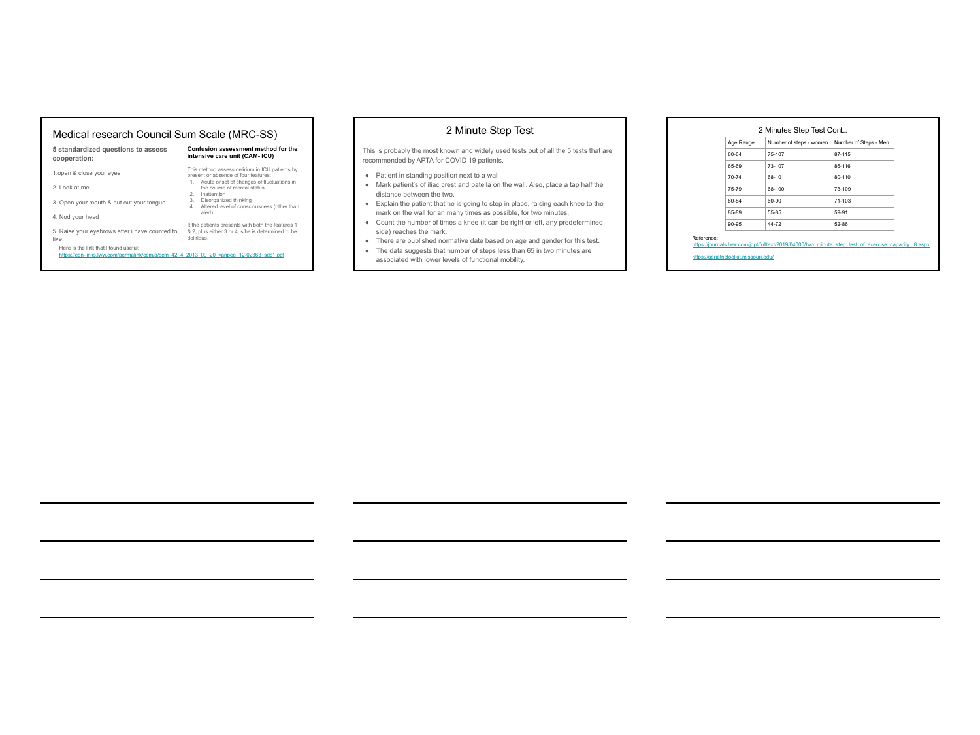#### Medical research Council Sum Scale (MRC-SS)

**Confusion assessment method for the intensive care unit (CAM- ICU)** 

This method assess delirium in ICU patients by<br>present or absence of four features:<br>1. Acute onset of changes of fluctuations in<br>the course of mental status<br>2. Inattention the course of mental status 2.<br>3. Disorganized thinking<br>4. Altered level of consciousness (other than<br>alert)

| 5 standardized questions to assess |  |  |
|------------------------------------|--|--|
| cooperation:                       |  |  |

1.open & close your eyes

- 2. Look at me
- 3. Open your mouth & put out your tongue
- 4. Nod your head

the patients presents with both the features 1<br>The galaxy manner of the space of the state of the determined to be<br>Here is the link that I found useful:<br>Https://cdn-links.livw.com/permalink/com/a/com 42 4 2013 09 20 vanpee

five.<br>Here is the link that I found useful:

### 2 Minute Step Test

This is probably the most known and widely used tests out of all the 5 tests that are recommended by APTA for COVID 19 patients.

- 
- Patient in standing position next to a wall<br>
 Mark patient's of iliac crest and patella on the wall. Also, place a tap half the<br>
distance between the two.<br>
 Explain the patient that he is going to step in place, raisin
- 
- Count the number of times a knee (it can be right or left, any predetermined side) reaches the mark.
- There are published normative date based on age and gender for this test.<br>● The data suggests that number of steps less than 65 in two minutes are
- associated with lower levels of functional mobility.

#### 2 Minutes Step Test Cont..

| Age Range | Number of steps - women | Number of Steps - Men |  |
|-----------|-------------------------|-----------------------|--|
| 60-64     | 75-107                  | 87-115                |  |
| 65-69     | 73-107                  | 86-116                |  |
| 70-74     | 68-101                  | 80-110                |  |
| 75-79     | 68-100                  | 73-109                |  |
| 80-84     | 60-90                   | 71-103                |  |
| 85-89     | 55-85                   | 59-91                 |  |
| 90-95     | 44-72                   | 52-86                 |  |

Reference:<br>https://journals.lww.com/jgpt/fulltext/2019/04000/two\_minute\_step\_test\_of\_exercise\_capacity\_.8.aspx

<https://geriatrictoolkit.missouri.edu/>